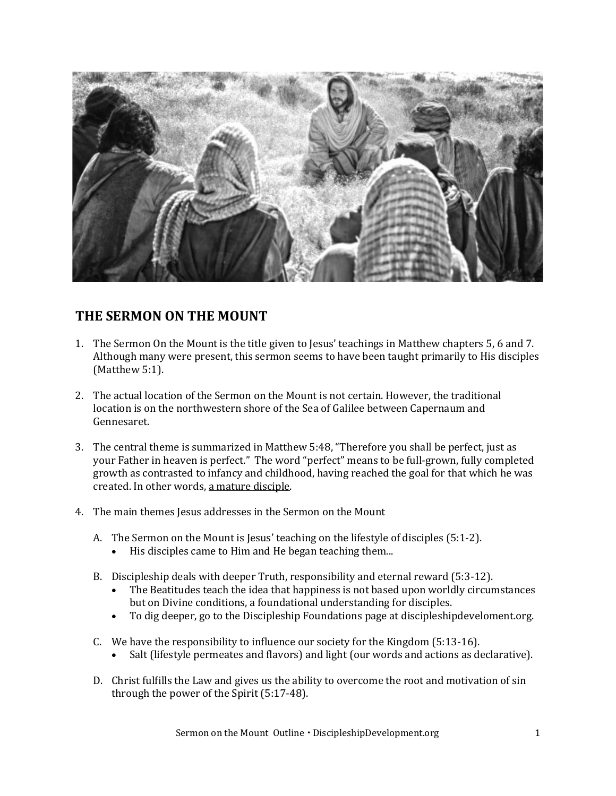

## **THE SERMON ON THE MOUNT**

- 1. The Sermon On the Mount is the title given to Jesus' teachings in Matthew chapters 5, 6 and 7. Although many were present, this sermon seems to have been taught primarily to His disciples (Matthew 5:1).
- 2. The actual location of the Sermon on the Mount is not certain. However, the traditional location is on the northwestern shore of the Sea of Galilee between Capernaum and Gennesaret.
- 3. The central theme is summarized in Matthew 5:48, "Therefore you shall be perfect, just as your Father in heaven is perfect." The word "perfect" means to be full-grown, fully completed growth as contrasted to infancy and childhood, having reached the goal for that which he was created. In other words, a mature disciple.
- 4. The main themes Jesus addresses in the Sermon on the Mount
	- A. The Sermon on the Mount is Jesus' teaching on the lifestyle of disciples (5:1-2).
		- His disciples came to Him and He began teaching them...
	- B. Discipleship deals with deeper Truth, responsibility and eternal reward (5:3-12).
		- The Beatitudes teach the idea that happiness is not based upon worldly circumstances but on Divine conditions, a foundational understanding for disciples.
		- To dig deeper, go to the Discipleship Foundations page at discipleshipdeveloment.org.
	- C. We have the responsibility to influence our society for the Kingdom (5:13-16).
		- Salt (lifestyle permeates and flavors) and light (our words and actions as declarative).
	- D. Christ fulfills the Law and gives us the ability to overcome the root and motivation of sin through the power of the Spirit (5:17-48).